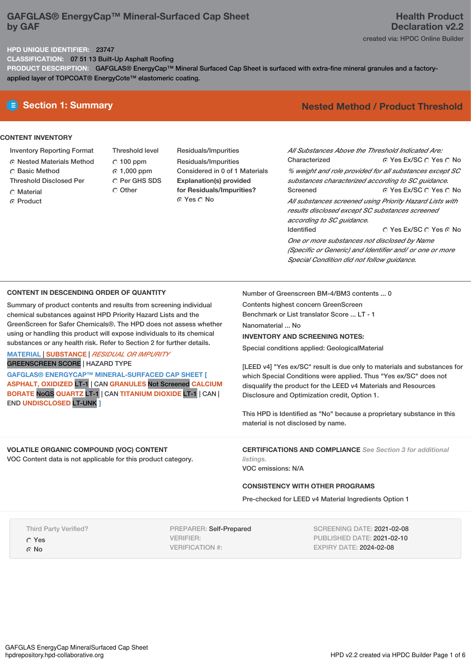# **GAFGLAS® EnergyCap™ Mineral‑Surfaced Cap Sheet by GAF**

### **HPD UNIQUE IDENTIFIER:** 23747

**CLASSIFICATION:** 07 51 13 Built-Up Asphalt Roofing

PRODUCT DESCRIPTION: GAFGLAS<sup>®</sup> EnergyCap™ Mineral Surfaced Cap Sheet is surfaced with extra-fine mineral granules and a factoryapplied layer of TOPCOAT® EnergyCote™ elastomeric coating.

## **CONTENT INVENTORY**

- Inventory Reporting Format
- Nested Materials Method
- C Basic Method
- Threshold Disclosed Per
- C Material
- **G** Product

Threshold level  $C$  100 ppm  $\odot$  1,000 ppm C Per GHS SDS

Other

Residuals/Impurities Residuals/Impurities Considered in 0 of 1 Materials **Explanation(s) provided for Residuals/Impurities?** ⊙ Yes O No

# **Section 1: Summary Nested Method / Product Threshold**

⊙ Yes Ex/SC  $\bigcirc$  Yes  $\bigcirc$  No ⊙ Yes Ex/SC O Yes O No © Yes Ex/SC © Yes © No *All Substances Above the Threshold Indicated Are:* Characterized *% weight and role provided for all substances except SC substances characterized according to SC guidance.* Screened *All substances screened using Priority Hazard Lists with results disclosed except SC substances screened according to SC guidance.* Identified *One or more substances not disclosed by Name (Specific or Generic) and Identifier and/ or one or more*

**CONTENT IN DESCENDING ORDER OF QUANTITY**

Summary of product contents and results from screening individual chemical substances against HPD Priority Hazard Lists and the GreenScreen for Safer Chemicals®. The HPD does not assess whether using or handling this product will expose individuals to its chemical substances or any health risk. Refer to Section 2 for further details.

**MATERIAL** | **SUBSTANCE** | *RESIDUAL OR IMPURITY* GREENSCREEN SCORE | HAZARD TYPE

**GAFGLAS® ENERGYCAP™ MINERAL‑SURFACED CAP SHEET [ ASPHALT, OXIDIZED** LT-1 | CAN **GRANULES** Not Screened **CALCIUM BORATE** NoGS **QUARTZ** LT-1 | CAN **TITANIUM DIOXIDE** LT-1 | CAN | END **UNDISCLOSED** LT-UNK **]**

Number of Greenscreen BM-4/BM3 contents ... 0

Contents highest concern GreenScreen

Benchmark or List translator Score ... LT - 1

Nanomaterial ... No

**INVENTORY AND SCREENING NOTES:**

Special conditions applied: GeologicalMaterial

[LEED v4] "Yes ex/SC" result is due only to materials and substances for which Special Conditions were applied. Thus "Yes ex/SC" does not disqualify the product for the LEED v4 Materials and Resources Disclosure and Optimization credit, Option 1.

*Special Condition did not follow guidance.*

This HPD is Identified as "No" because a proprietary substance in this material is not disclosed by name.

**VOLATILE ORGANIC COMPOUND (VOC) CONTENT** VOC Content data is not applicable for this product category. **CERTIFICATIONS AND COMPLIANCE** *See Section 3 for additional listings.*

VOC emissions: N/A

## **CONSISTENCY WITH OTHER PROGRAMS**

Pre-checked for LEED v4 Material Ingredients Option 1

Third Party Verified?

Yes

G No

PREPARER: Self-Prepared VERIFIER: VERIFICATION #:

SCREENING DATE: 2021-02-08 PUBLISHED DATE: 2021-02-10 EXPIRY DATE: 2024-02-08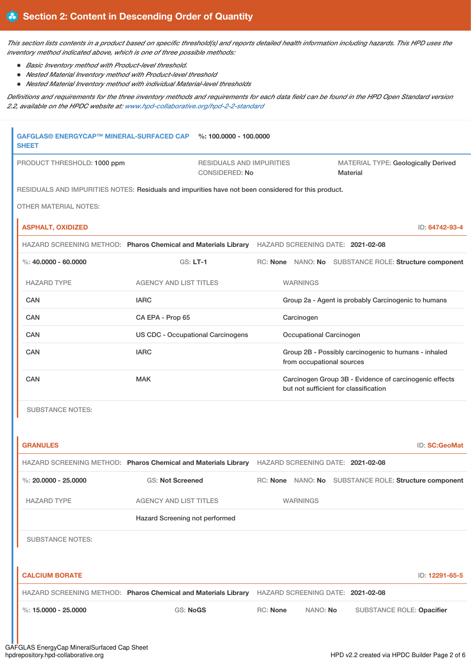This section lists contents in a product based on specific threshold(s) and reports detailed health information including hazards. This HPD uses the *inventory method indicated above, which is one of three possible methods:*

- *Basic Inventory method with Product-level threshold.*
- *Nested Material Inventory method with Product-level threshold*
- *Nested Material Inventory method with individual Material-level thresholds*

Definitions and requirements for the three inventory methods and requirements for each data field can be found in the HPD Open Standard version *2.2, available on the HPDC website at: [www.hpd-collaborative.org/hpd-2-2-standard](https://www.hpd-collaborative.org/hpd-2-2-standard)*

|                                                                                                                                                                        | GAFGLAS® ENERGYCAP™ MINERAL-SURFACED CAP<br><b>SHEET</b> | %: 100.0000 - 100.0000                                                                              |                 |                                                     |                                                      |                                                        |
|------------------------------------------------------------------------------------------------------------------------------------------------------------------------|----------------------------------------------------------|-----------------------------------------------------------------------------------------------------|-----------------|-----------------------------------------------------|------------------------------------------------------|--------------------------------------------------------|
| PRODUCT THRESHOLD: 1000 ppm<br><b>RESIDUALS AND IMPURITIES</b><br><b>CONSIDERED: No</b>                                                                                |                                                          |                                                                                                     |                 | <b>Material</b>                                     | MATERIAL TYPE: Geologically Derived                  |                                                        |
|                                                                                                                                                                        |                                                          | RESIDUALS AND IMPURITIES NOTES: Residuals and impurities have not been considered for this product. |                 |                                                     |                                                      |                                                        |
|                                                                                                                                                                        | <b>OTHER MATERIAL NOTES:</b>                             |                                                                                                     |                 |                                                     |                                                      |                                                        |
|                                                                                                                                                                        | <b>ASPHALT, OXIDIZED</b>                                 |                                                                                                     |                 |                                                     |                                                      | ID: 64742-93-4                                         |
|                                                                                                                                                                        |                                                          | HAZARD SCREENING METHOD: Pharos Chemical and Materials Library HAZARD SCREENING DATE: 2021-02-08    |                 |                                                     |                                                      |                                                        |
|                                                                                                                                                                        | %: $40,0000 - 60,0000$                                   | $GS: LT-1$                                                                                          |                 |                                                     |                                                      | RC: None NANO: No SUBSTANCE ROLE: Structure component  |
|                                                                                                                                                                        | <b>HAZARD TYPE</b>                                       | <b>AGENCY AND LIST TITLES</b>                                                                       |                 | <b>WARNINGS</b>                                     |                                                      |                                                        |
|                                                                                                                                                                        | <b>CAN</b>                                               | <b>IARC</b>                                                                                         |                 | Group 2a - Agent is probably Carcinogenic to humans |                                                      |                                                        |
|                                                                                                                                                                        | <b>CAN</b>                                               | CA EPA - Prop 65                                                                                    |                 | Carcinogen                                          |                                                      |                                                        |
|                                                                                                                                                                        | CAN                                                      | <b>US CDC - Occupational Carcinogens</b>                                                            |                 | Occupational Carcinogen                             |                                                      |                                                        |
|                                                                                                                                                                        | CAN                                                      | <b>IARC</b>                                                                                         |                 | from occupational sources                           | Group 2B - Possibly carcinogenic to humans - inhaled |                                                        |
| <b>CAN</b><br><b>MAK</b>                                                                                                                                               |                                                          |                                                                                                     |                 |                                                     | but not sufficient for classification                | Carcinogen Group 3B - Evidence of carcinogenic effects |
| <b>SUBSTANCE NOTES:</b>                                                                                                                                                |                                                          |                                                                                                     |                 |                                                     |                                                      |                                                        |
|                                                                                                                                                                        |                                                          |                                                                                                     |                 |                                                     |                                                      |                                                        |
|                                                                                                                                                                        | <b>GRANULES</b>                                          |                                                                                                     |                 |                                                     |                                                      | <b>ID: SC:GeoMat</b>                                   |
|                                                                                                                                                                        |                                                          | HAZARD SCREENING METHOD: Pharos Chemical and Materials Library HAZARD SCREENING DATE: 2021-02-08    |                 |                                                     |                                                      |                                                        |
| %: $20.0000 - 25.0000$<br><b>GS: Not Screened</b><br><b>HAZARD TYPE</b><br><b>AGENCY AND LIST TITLES</b><br>Hazard Screening not performed<br><b>SUBSTANCE NOTES:</b>  |                                                          |                                                                                                     |                 |                                                     |                                                      | RC: None NANO: No SUBSTANCE ROLE: Structure component  |
|                                                                                                                                                                        |                                                          |                                                                                                     |                 | <b>WARNINGS</b>                                     |                                                      |                                                        |
|                                                                                                                                                                        |                                                          |                                                                                                     |                 |                                                     |                                                      |                                                        |
|                                                                                                                                                                        |                                                          |                                                                                                     |                 |                                                     |                                                      |                                                        |
|                                                                                                                                                                        |                                                          |                                                                                                     |                 |                                                     |                                                      |                                                        |
| <b>CALCIUM BORATE</b><br>HAZARD SCREENING METHOD: Pharos Chemical and Materials Library HAZARD SCREENING DATE: 2021-02-08<br>%: $15.0000 - 25.0000$<br><b>GS: NoGS</b> |                                                          |                                                                                                     |                 |                                                     | ID: 12291-65-5                                       |                                                        |
|                                                                                                                                                                        |                                                          |                                                                                                     |                 |                                                     |                                                      |                                                        |
|                                                                                                                                                                        |                                                          |                                                                                                     | <b>RC: None</b> | NANO: No                                            |                                                      | SUBSTANCE ROLE: Opacifier                              |
|                                                                                                                                                                        |                                                          |                                                                                                     |                 |                                                     |                                                      |                                                        |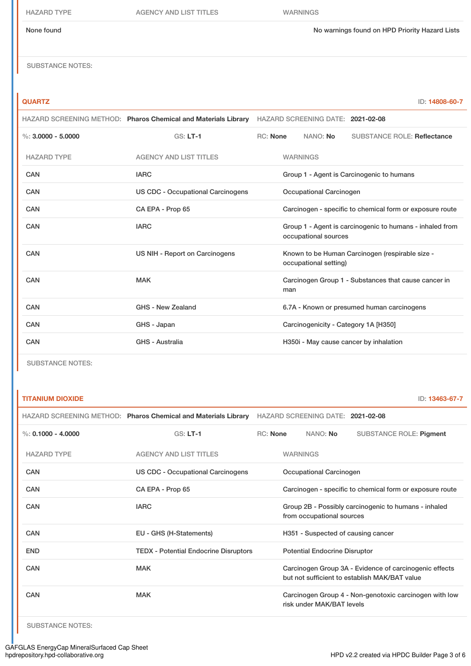HAZARD TYPE AGENCY AND LIST TITLES WARNINGS

None found Now arrings found on HPD Priority Hazard Lists

SUBSTANCE NOTES:

**QUARTZ** ID: **14808-60-7**

|                      | HAZARD SCREENING METHOD: Pharos Chemical and Materials Library HAZARD SCREENING DATE: 2021-02-08 |                 |                                           |                                                          |  |
|----------------------|--------------------------------------------------------------------------------------------------|-----------------|-------------------------------------------|----------------------------------------------------------|--|
| %: $3.0000 - 5.0000$ | $GS: LT-1$                                                                                       | <b>RC: None</b> | NANO: No                                  | <b>SUBSTANCE ROLE: Reflectance</b>                       |  |
| <b>HAZARD TYPE</b>   | <b>AGENCY AND LIST TITLES</b>                                                                    |                 | <b>WARNINGS</b>                           |                                                          |  |
| CAN                  | <b>IARC</b>                                                                                      |                 | Group 1 - Agent is Carcinogenic to humans |                                                          |  |
| <b>CAN</b>           | <b>US CDC - Occupational Carcinogens</b>                                                         |                 | Occupational Carcinogen                   |                                                          |  |
| <b>CAN</b>           | CA EPA - Prop 65                                                                                 |                 |                                           | Carcinogen - specific to chemical form or exposure route |  |
| <b>CAN</b>           | <b>IARC</b>                                                                                      |                 | occupational sources                      | Group 1 - Agent is carcinogenic to humans - inhaled from |  |
| CAN                  | US NIH - Report on Carcinogens                                                                   |                 | occupational setting)                     | Known to be Human Carcinogen (respirable size -          |  |
| CAN                  | <b>MAK</b>                                                                                       |                 | man                                       | Carcinogen Group 1 - Substances that cause cancer in     |  |
| CAN                  | GHS - New Zealand                                                                                |                 |                                           | 6.7A - Known or presumed human carcinogens               |  |
| CAN                  | GHS - Japan                                                                                      |                 | Carcinogenicity - Category 1A [H350]      |                                                          |  |
| <b>CAN</b>           | <b>GHS - Australia</b>                                                                           |                 | H350i - May cause cancer by inhalation    |                                                          |  |

SUBSTANCE NOTES:

## **TITANIUM DIOXIDE** ID: **13463-67-7**

| HAZARD SCREENING METHOD: Pharos Chemical and Materials Library |                                                       | HAZARD SCREENING DATE: 2021-02-08 |                                                                                                         |                           |                                                        |
|----------------------------------------------------------------|-------------------------------------------------------|-----------------------------------|---------------------------------------------------------------------------------------------------------|---------------------------|--------------------------------------------------------|
| %: $0.1000 - 4.0000$                                           | $GS: LT-1$                                            | RC: None                          |                                                                                                         | NANO: No                  | <b>SUBSTANCE ROLE: Pigment</b>                         |
| <b>HAZARD TYPE</b>                                             | <b>AGENCY AND LIST TITLES</b>                         |                                   | <b>WARNINGS</b>                                                                                         |                           |                                                        |
| CAN                                                            | US CDC - Occupational Carcinogens<br>CA EPA - Prop 65 |                                   | Occupational Carcinogen                                                                                 |                           |                                                        |
| CAN                                                            |                                                       |                                   | Carcinogen - specific to chemical form or exposure route                                                |                           |                                                        |
| CAN                                                            | <b>IARC</b>                                           |                                   | Group 2B - Possibly carcinogenic to humans - inhaled<br>from occupational sources                       |                           |                                                        |
| <b>CAN</b>                                                     | EU - GHS (H-Statements)                               |                                   | H351 - Suspected of causing cancer                                                                      |                           |                                                        |
| <b>END</b>                                                     | <b>TEDX</b> - Potential Endocrine Disruptors          |                                   | <b>Potential Endocrine Disruptor</b>                                                                    |                           |                                                        |
| <b>CAN</b>                                                     | <b>MAK</b>                                            |                                   | Carcinogen Group 3A - Evidence of carcinogenic effects<br>but not sufficient to establish MAK/BAT value |                           |                                                        |
| CAN                                                            | <b>MAK</b>                                            |                                   |                                                                                                         | risk under MAK/BAT levels | Carcinogen Group 4 - Non-genotoxic carcinogen with low |

SUBSTANCE NOTES: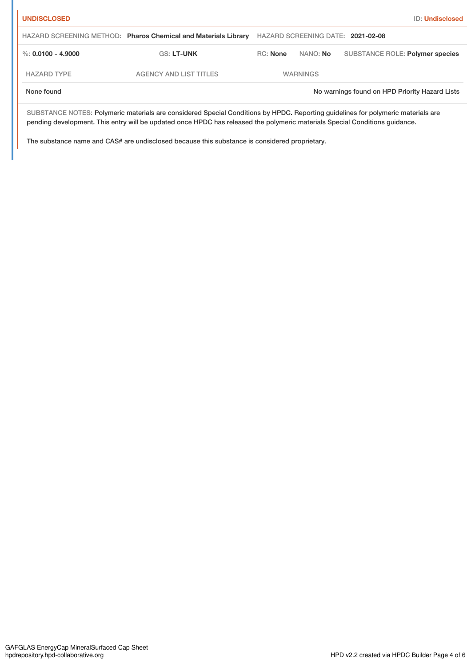| <b>ID: Undisclosed</b> |  |  |  |
|------------------------|--|--|--|

| <b>UNDISCLOSED</b> |                                                                |                 |                 | <b>ID: Undisclosed</b>                         |
|--------------------|----------------------------------------------------------------|-----------------|-----------------|------------------------------------------------|
|                    | HAZARD SCREENING METHOD: Pharos Chemical and Materials Library |                 |                 | HAZARD SCREENING DATE: 2021-02-08              |
| %: 0.0100 - 4.9000 | <b>GS: LT-UNK</b>                                              | <b>RC:</b> None | NANO: No        | SUBSTANCE ROLE: Polymer species                |
| <b>HAZARD TYPE</b> | <b>AGENCY AND LIST TITLES</b>                                  |                 | <b>WARNINGS</b> |                                                |
| None found         |                                                                |                 |                 | No warnings found on HPD Priority Hazard Lists |

SUBSTANCE NOTES: Polymeric materials are considered Special Conditions by HPDC. Reporting guidelines for polymeric materials are pending development. This entry will be updated once HPDC has released the polymeric materials Special Conditions guidance.

The substance name and CAS# are undisclosed because this substance is considered proprietary.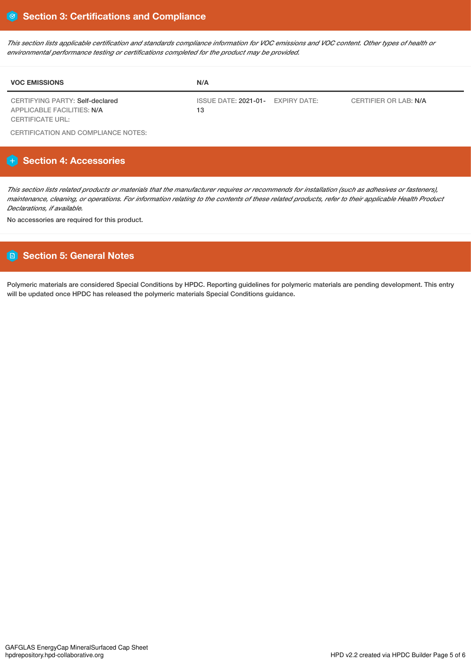This section lists applicable certification and standards compliance information for VOC emissions and VOC content. Other types of health or *environmental performance testing or certifications completed for the product may be provided.*

| <b>VOC EMISSIONS</b>            | N/A                               |                              |
|---------------------------------|-----------------------------------|------------------------------|
| CERTIFYING PARTY: Self-declared | ISSUE DATE: 2021-01- EXPIRY DATE: | <b>CERTIFIER OR LAB: N/A</b> |
| APPLICABLE FACILITIES: N/A      | 13                                |                              |
| <b>CERTIFICATE URL:</b>         |                                   |                              |

CERTIFICATION AND COMPLIANCE NOTES:

# **Section 4: Accessories**

This section lists related products or materials that the manufacturer requires or recommends for installation (such as adhesives or fasteners), maintenance, cleaning, or operations. For information relating to the contents of these related products, refer to their applicable Health Product *Declarations, if available.*

No accessories are required for this product.

# **Section 5: General Notes**

Polymeric materials are considered Special Conditions by HPDC. Reporting guidelines for polymeric materials are pending development. This entry will be updated once HPDC has released the polymeric materials Special Conditions guidance.